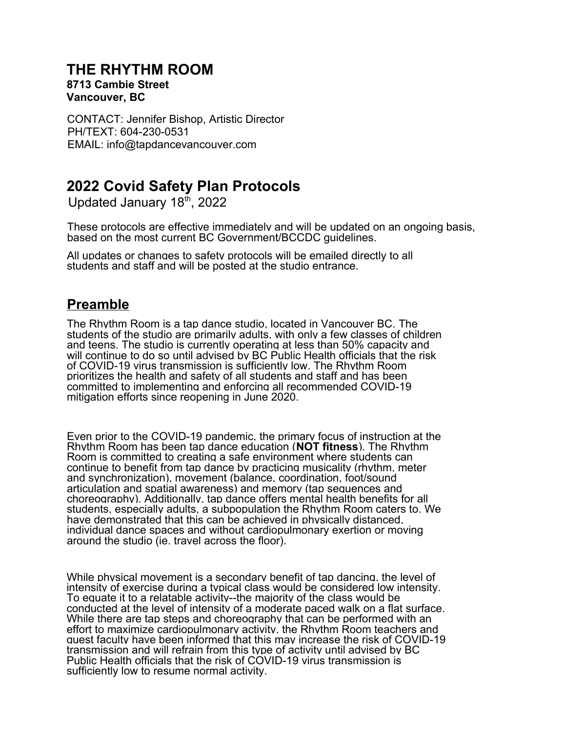### **THE RHYTHM ROOM**

#### **8713 Cambie Street Vancouver, BC**

CONTACT: Jennifer Bishop, Artistic Director PH/TEXT: 604-230-0531 EMAIL: info@tapdancevancouver.com

# **2022 Covid Safety Plan Protocols**

Updated January 18th, 2022

These protocols are effective immediately and will be updated on an ongoing basis, based on the most current BC Government/BCCDC guidelines.

All updates or changes to safety protocols will be emailed directly to all students and staff and will be posted at the studio entrance.

### **Preamble**

The Rhythm Room is a tap dance studio, located in Vancouver BC. The students of the studio are primarily adults, with only a few classes of children and teens. The studio is currently operating at less than 50% capacity and will continue to do so until advised by BC Public Health officials that the risk of COVID-19 virus transmission is sufficiently low. The Rhythm Room prioritizes the health and safety of all students and staff and has been committed to implementing and enforcing all recommended COVID-19 mitigation efforts since reopening in June 2020.

Even prior to the COVID-19 pandemic, the primary focus of instruction at the Rhythm Room has been tap dance education (**NOT fitness**). The Rhythm Room is committed to creating a safe environment where students can continue to benefit from tap dance by practicing musicality (rhythm, meter and synchronization), movement (balance, coordination, foot/sound articulation and spatial awareness) and memory (tap sequences and choreography). Additionally, tap dance offers mental health benefits for all students, especially adults, a subpopulation the Rhythm Room caters to. We have demonstrated that this can be achieved in physically distanced, individual dance spaces and without cardiopulmonary exertion or moving around the studio (ie. travel across the floor).

While physical movement is a secondary benefit of tap dancing, the level of intensity of exercise during a typical class would be considered low intensity. To equate it to a relatable activity--the majority of the class would be conducted at the level of intensity of a moderate paced walk on a flat surface. While there are tap steps and choreography that can be performed with an effort to maximize cardiopulmonary activity, the Rhythm Room teachers and guest faculty have been informed that this may increase the risk of COVID-19 transmission and will refrain from this type of activity until advised by BC Public Health officials that the risk of COVID-19 virus transmission is sufficiently low to resume normal activity.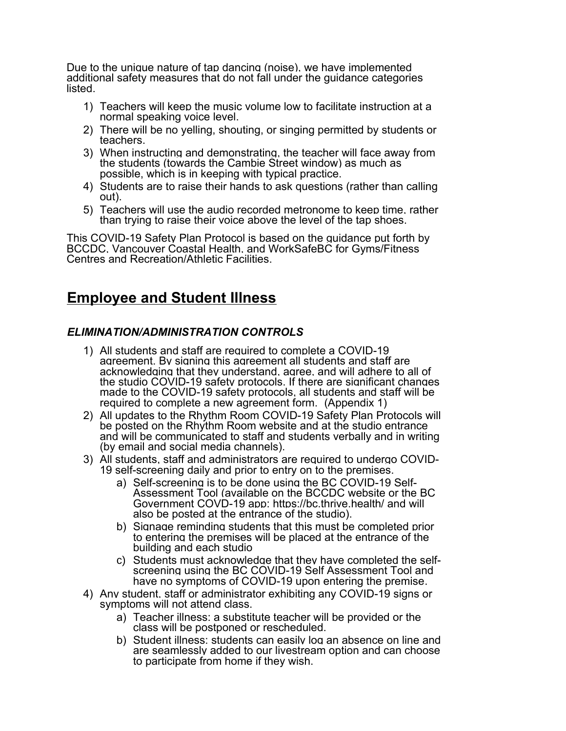Due to the unique nature of tap dancing (noise), we have implemented additional safety measures that do not fall under the guidance categories listed.

- 1) Teachers will keep the music volume low to facilitate instruction at a normal speaking voice level.
- 2) There will be no yelling, shouting, or singing permitted by students or teachers.
- 3) When instructing and demonstrating, the teacher will face away from the students (towards the Cambie Street window) as much as possible, which is in keeping with typical practice.
- 4) Students are to raise their hands to ask questions (rather than calling out).
- 5) Teachers will use the audio recorded metronome to keep time, rather than trying to raise their voice above the level of the tap shoes.

This COVID-19 Safety Plan Protocol is based on the guidance put forth by BCCDC, Vancouver Coastal Health, and WorkSafeBC for Gyms/Fitness Centres and Recreation/Athletic Facilities.

## **Employee and Student Illness**

### *ELIMINATION/ADMINISTRATION CONTROLS*

- 1) All students and staff are required to complete a COVID-19 agreement. By signing this agreement all students and staff are acknowledging that they understand, agree, and will adhere to all of the studio COVID-19 safety protocols. If there are significant changes made to the COVID-19 safety protocols, all students and staff will be required to complete a new agreement form. (Appendix 1)
- 2) All updates to the Rhythm Room COVID-19 Safety Plan Protocols will be posted on the Rhythm Room website and at the studio entrance and will be communicated to staff and students verbally and in writing (by email and social media channels).
- 3) All students, staff and administrators are required to undergo COVID-19 self-screening daily and prior to entry on to the premises.
	- a) Self-screening is to be done using the BC COVID-19 Self-Assessment Tool (available on the BCCDC website or the BC Government COVD-19 app: https://bc.thrive.health/ and will also be posted at the entrance of the studio).
	- b) Signage reminding students that this must be completed prior to entering the premises will be placed at the entrance of the building and each studio
	- c) Students must acknowledge that they have completed the selfscreening using the BC COVID-19 Self Assessment Tool and have no symptoms of COVID-19 upon entering the premise.
- 4) Any student, staff or administrator exhibiting any COVID-19 signs or symptoms will not attend class.
	- a) Teacher illness: a substitute teacher will be provided or the class will be postponed or rescheduled.
	- b) Student illness: students can easily log an absence on line and are seamlessly added to our livestream option and can choose to participate from home if they wish.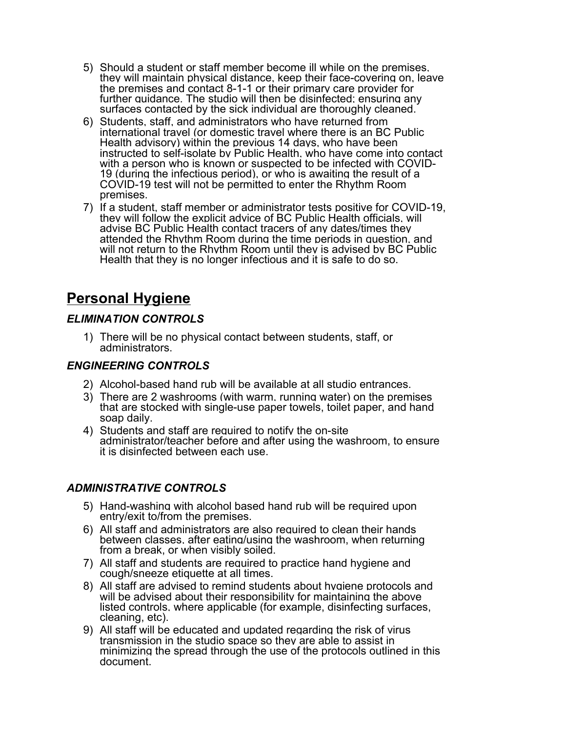- 5) Should a student or staff member become ill while on the premises, they will maintain physical distance, keep their face-covering on, leave the premises and contact 8-1-1 or their primary care provider for further guidance. The studio will then be disinfected; ensuring any surfaces contacted by the sick individual are thoroughly cleaned.
- 6) Students, staff, and administrators who have returned from international travel (or domestic travel where there is an BC Public Health advisory) within the previous 14 days, who have been instructed to self-isolate by Public Health, who have come into contact with a person who is known or suspected to be infected with COVID-19 (during the infectious period), or who is awaiting the result of a COVID-19 test will not be permitted to enter the Rhythm Room premises.
- 7) If a student, staff member or administrator tests positive for COVID-19, they will follow the explicit advice of BC Public Health officials, will advise BC Public Health contact tracers of any dates/times they attended the Rhythm Room during the time periods in question, and will not return to the Rhythm Room until they is advised by BC Public Health that they is no longer infectious and it is safe to do so.

## **Personal Hygiene**

### *ELIMINATION CONTROLS*

1) There will be no physical contact between students, staff, or administrators.

### *ENGINEERING CONTROLS*

- 2) Alcohol-based hand rub will be available at all studio entrances.
- 3) There are 2 washrooms (with warm, running water) on the premises that are stocked with single-use paper towels, toilet paper, and hand soap daily.
- 4) Students and staff are required to notify the on-site administrator/teacher before and after using the washroom, to ensure it is disinfected between each use.

### *ADMINISTRATIVE CONTROLS*

- 5) Hand-washing with alcohol based hand rub will be required upon entry/exit to/from the premises.
- 6) All staff and administrators are also required to clean their hands between classes, after eating/using the washroom, when returning from a break, or when visibly soiled.
- 7) All staff and students are required to practice hand hygiene and cough/sneeze etiquette at all times.
- 8) All staff are advised to remind students about hygiene protocols and will be advised about their responsibility for maintaining the above listed controls, where applicable (for example, disinfecting surfaces, cleaning, etc).
- 9) All staff will be educated and updated regarding the risk of virus transmission in the studio space so they are able to assist in minimizing the spread through the use of the protocols outlined in this document.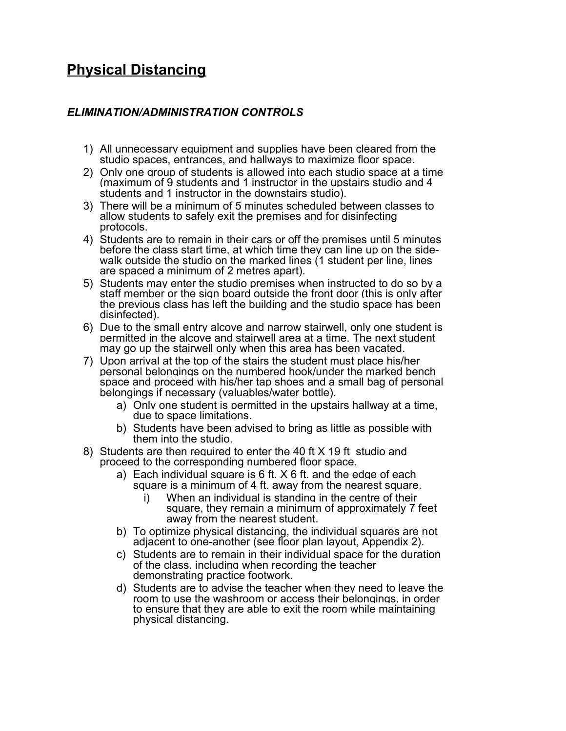# **Physical Distancing**

### *ELIMINATION/ADMINISTRATION CONTROLS*

- 1) All unnecessary equipment and supplies have been cleared from the studio spaces, entrances, and hallways to maximize floor space.
- 2) Only one group of students is allowed into each studio space at a time (maximum of 9 students and 1 instructor in the upstairs studio and 4 students and 1 instructor in the downstairs studio).
- 3) There will be a minimum of 5 minutes scheduled between classes to allow students to safely exit the premises and for disinfecting protocols.
- 4) Students are to remain in their cars or off the premises until 5 minutes before the class start time, at which time they can line up on the sidewalk outside the studio on the marked lines (1 student per line, lines are spaced a minimum of 2 metres apart).
- 5) Students may enter the studio premises when instructed to do so by a staff member or the sign board outside the front door (this is only after the previous class has left the building and the studio space has been disinfected).
- 6) Due to the small entry alcove and narrow stairwell, only one student is permitted in the alcove and stairwell area at a time. The next student may go up the stairwell only when this area has been vacated.
- 7) Upon arrival at the top of the stairs the student must place his/her personal belongings on the numbered hook/under the marked bench space and proceed with his/her tap shoes and a small bag of personal belongings if necessary (valuables/water bottle).
	- a) Only one student is permitted in the upstairs hallway at a time, due to space limitations.
	- b) Students have been advised to bring as little as possible with them into the studio.
- 8) Students are then required to enter the 40 ft X 19 ft studio and proceed to the corresponding numbered floor space.
	- a) Each individual square is 6 ft. X 6 ft. and the edge of each square is a minimum of 4 ft. away from the nearest square.
		- i) When an individual is standing in the centre of their square, they remain a minimum of approximately 7 feet away from the nearest student.
	- b) To optimize physical distancing, the individual squares are not adjacent to one-another (see floor plan layout, Appendix 2).
	- c) Students are to remain in their individual space for the duration of the class, including when recording the teacher demonstrating practice footwork.
	- d) Students are to advise the teacher when they need to leave the room to use the washroom or access their belongings, in order to ensure that they are able to exit the room while maintaining physical distancing.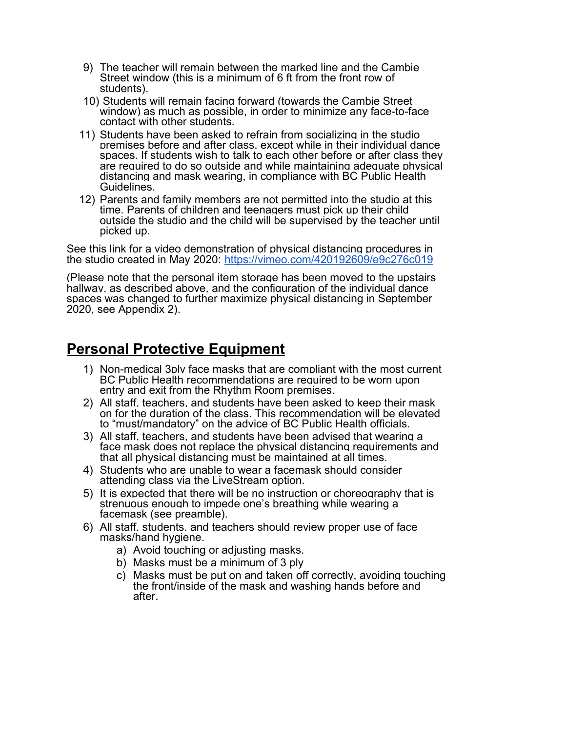- 9) The teacher will remain between the marked line and the Cambie Street window (this is a minimum of 6 ft from the front row of students).
- 10) Students will remain facing forward (towards the Cambie Street window) as much as possible, in order to minimize any face-to-face contact with other students.
- 11) Students have been asked to refrain from socializing in the studio premises before and after class, except while in their individual dance spaces. If students wish to talk to each other before or after class they are required to do so outside and while maintaining adequate physical distancing and mask wearing, in compliance with BC Public Health Guidelines.
- 12) Parents and family members are not permitted into the studio at this time. Parents of children and teenagers must pick up their child outside the studio and the child will be supervised by the teacher until picked up.

See this link for a video demonstration of physical distancing procedures in the studio created in May 2020:<https://vimeo.com/420192609/e9c276c019>

(Please note that the personal item storage has been moved to the upstairs hallway, as described above, and the configuration of the individual dance spaces was changed to further maximize physical distancing in September 2020, see Appendix 2).

## **Personal Protective Equipment**

- 1) Non-medical 3ply face masks that are compliant with the most current BC Public Health recommendations are required to be worn upon entry and exit from the Rhythm Room premises.
- 2) All staff, teachers, and students have been asked to keep their mask on for the duration of the class. This recommendation will be elevated to "must/mandatory" on the advice of BC Public Health officials.
- 3) All staff, teachers, and students have been advised that wearing a face mask does not replace the physical distancing requirements and that all physical distancing must be maintained at all times.
- 4) Students who are unable to wear a facemask should consider attending class via the LiveStream option.
- 5) It is expected that there will be no instruction or choreography that is strenuous enough to impede one's breathing while wearing a facemask (see preamble).
- 6) All staff, students, and teachers should review proper use of face masks/hand hygiene.
	- a) Avoid touching or adjusting masks.
	- b) Masks must be a minimum of 3 ply
	- c) Masks must be put on and taken off correctly, avoiding touching the front/inside of the mask and washing hands before and after.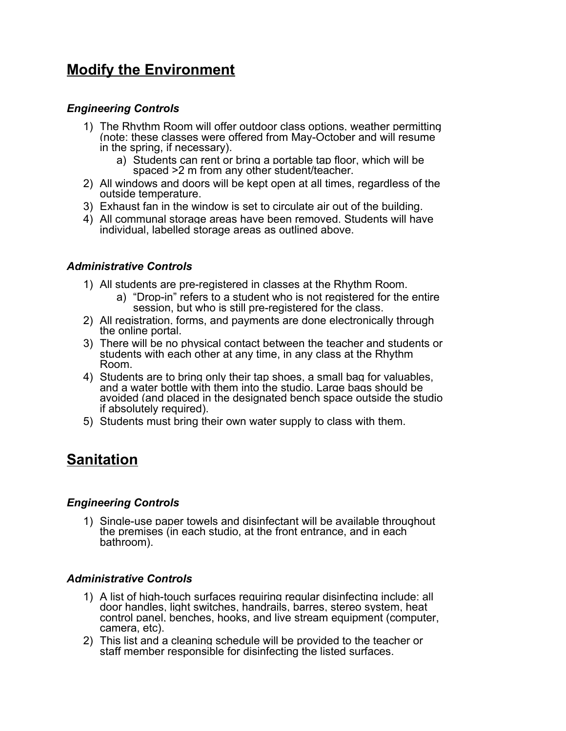## **Modify the Environment**

### *Engineering Controls*

- 1) The Rhythm Room will offer outdoor class options, weather permitting (note: these classes were offered from May-October and will resume in the spring, if necessary).
	- a) Students can rent or bring a portable tap floor, which will be spaced >2 m from any other student/teacher.
- 2) All windows and doors will be kept open at all times, regardless of the outside temperature.
- 3) Exhaust fan in the window is set to circulate air out of the building.
- 4) All communal storage areas have been removed. Students will have individual, labelled storage areas as outlined above.

#### *Administrative Controls*

- 1) All students are pre-registered in classes at the Rhythm Room.
	- a) "Drop-in" refers to a student who is not registered for the entire session, but who is still pre-registered for the class.
- 2) All registration, forms, and payments are done electronically through the online portal.
- 3) There will be no physical contact between the teacher and students or students with each other at any time, in any class at the Rhythm Room.
- 4) Students are to bring only their tap shoes, a small bag for valuables, and a water bottle with them into the studio. Large bags should be avoided (and placed in the designated bench space outside the studio if absolutely required).
- 5) Students must bring their own water supply to class with them.

## **Sanitation**

#### *Engineering Controls*

1) Single-use paper towels and disinfectant will be available throughout the premises (in each studio, at the front entrance, and in each bathroom).

#### *Administrative Controls*

- 1) A list of high-touch surfaces requiring regular disinfecting include: all door handles, light switches, handrails, barres, stereo system, heat control panel, benches, hooks, and live stream equipment (computer, camera, etc).
- 2) This list and a cleaning schedule will be provided to the teacher or staff member responsible for disinfecting the listed surfaces.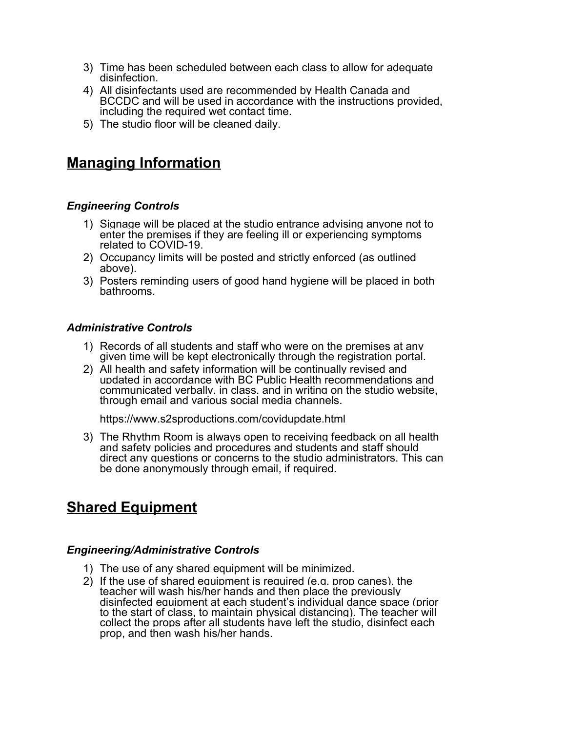- 3) Time has been scheduled between each class to allow for adequate disinfection.
- 4) All disinfectants used are recommended by Health Canada and BCCDC and will be used in accordance with the instructions provided, including the required wet contact time.
- 5) The studio floor will be cleaned daily.

## **Managing Information**

#### *Engineering Controls*

- 1) Signage will be placed at the studio entrance advising anyone not to enter the premises if they are feeling ill or experiencing symptoms related to COVID-19.
- 2) Occupancy limits will be posted and strictly enforced (as outlined above).
- 3) Posters reminding users of good hand hygiene will be placed in both bathrooms.

#### *Administrative Controls*

- 1) Records of all students and staff who were on the premises at any given time will be kept electronically through the registration portal.
- 2) All health and safety information will be continually revised and updated in accordance with BC Public Health recommendations and communicated verbally, in class, and in writing on the studio website, through email and various social media channels.

https://www.s2sproductions.com/covidupdate.html

3) The Rhythm Room is always open to receiving feedback on all health and safety policies and procedures and students and staff should direct any questions or concerns to the studio administrators. This can be done anonymously through email, if required.

## **Shared Equipment**

#### *Engineering/Administrative Controls*

- 1) The use of any shared equipment will be minimized.
- 2) If the use of shared equipment is required (e.g. prop canes), the teacher will wash his/her hands and then place the previously disinfected equipment at each student's individual dance space (prior to the start of class, to maintain physical distancing). The teacher will collect the props after all students have left the studio, disinfect each prop, and then wash his/her hands.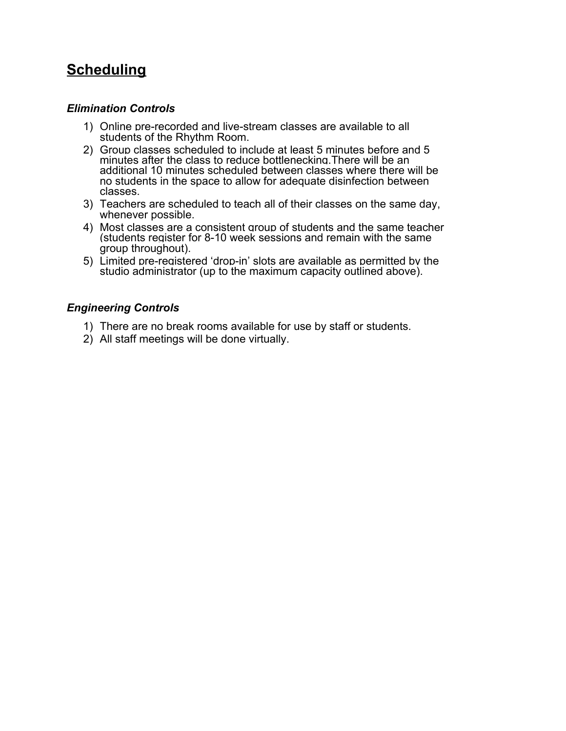# **Scheduling**

### *Elimination Controls*

- 1) Online pre-recorded and live-stream classes are available to all students of the Rhythm Room.
- 2) Group classes scheduled to include at least 5 minutes before and 5 minutes after the class to reduce bottlenecking.There will be an additional 10 minutes scheduled between classes where there will be no students in the space to allow for adequate disinfection between classes.
- 3) Teachers are scheduled to teach all of their classes on the same day, whenever possible.
- 4) Most classes are a consistent group of students and the same teacher (students register for 8-10 week sessions and remain with the same group throughout).
- 5) Limited pre-registered 'drop-in' slots are available as permitted by the studio administrator (up to the maximum capacity outlined above).

### *Engineering Controls*

- 1) There are no break rooms available for use by staff or students.
- 2) All staff meetings will be done virtually.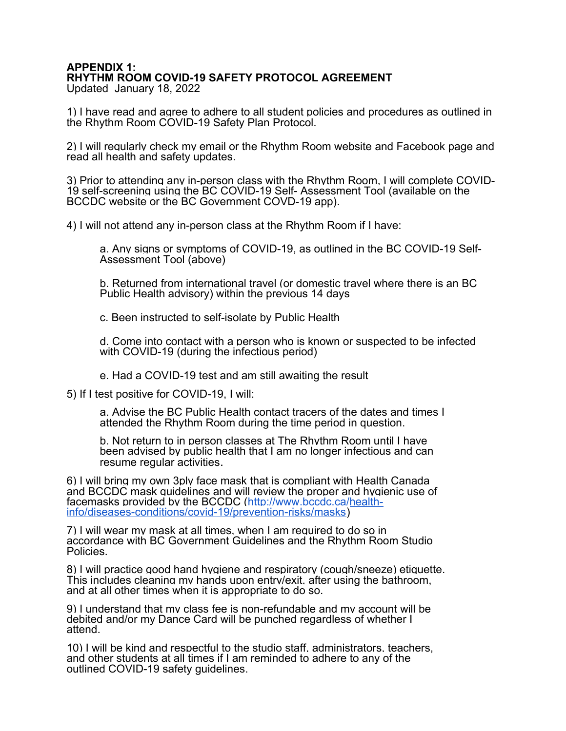#### **APPENDIX 1: RHYTHM ROOM COVID-19 SAFETY PROTOCOL AGREEMENT** Updated January 18, 2022

1) I have read and agree to adhere to all student policies and procedures as outlined in the Rhythm Room COVID-19 Safety Plan Protocol.

2) I will regularly check my email or the Rhythm Room website and Facebook page and read all health and safety updates.

3) Prior to attending any in-person class with the Rhythm Room, I will complete COVID-19 self-screening using the BC COVID-19 Self- Assessment Tool (available on the BCCDC website or the BC Government COVD-19 app).

4) I will not attend any in-person class at the Rhythm Room if I have:

a. Any signs or symptoms of COVID-19, as outlined in the BC COVID-19 Self-Assessment Tool (above)

b. Returned from international travel (or domestic travel where there is an BC Public Health advisory) within the previous 14 days

c. Been instructed to self-isolate by Public Health

d. Come into contact with a person who is known or suspected to be infected with COVID-19 (during the infectious period)

e. Had a COVID-19 test and am still awaiting the result

5) If I test positive for COVID-19, I will:

a. Advise the BC Public Health contact tracers of the dates and times I attended the Rhythm Room during the time period in question.

b. Not return to in person classes at The Rhythm Room until I have been advised by public health that I am no longer infectious and can resume regular activities.

6) I will bring my own 3ply face mask that is compliant with Health Canada and BCCDC mask guidelines and will review the proper and hygienic use of facemasks provided by the BCCDC [\(http://www.bccdc.ca/health](http://www.bccdc.ca/health-info/diseases-conditions/covid-19/prevention-risks/masks)[info/diseases-conditions/covid-19/prevention-risks/masks\)](http://www.bccdc.ca/health-info/diseases-conditions/covid-19/prevention-risks/masks)

7) I will wear my mask at all times, when I am required to do so in accordance with BC Government Guidelines and the Rhythm Room Studio Policies.

8) I will practice good hand hygiene and respiratory (cough/sneeze) etiquette. This includes cleaning my hands upon entry/exit, after using the bathroom, and at all other times when it is appropriate to do so.

9) I understand that my class fee is non-refundable and my account will be debited and/or my Dance Card will be punched regardless of whether I attend.

10) I will be kind and respectful to the studio staff, administrators, teachers, and other students at all times if I am reminded to adhere to any of the outlined COVID-19 safety guidelines.